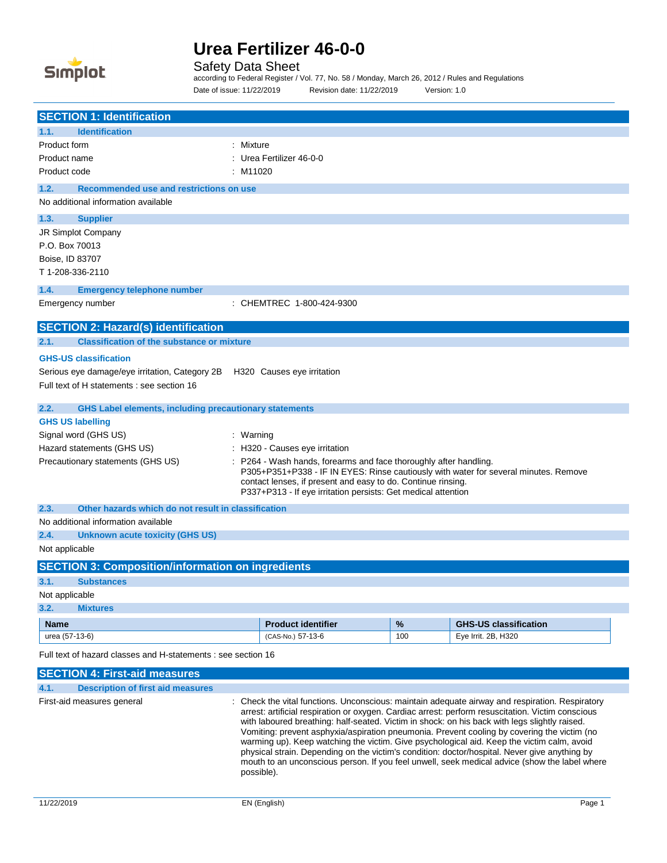

J.

# **Urea Fertilizer 46-0-0**

Safety Data Sheet

according to Federal Register / Vol. 77, No. 58 / Monday, March 26, 2012 / Rules and Regulations Date of issue: 11/22/2019 Revision date: 11/22/2019 Version: 1.0

| <b>SECTION 1: Identification</b>                                                         |                                                                                                                               |      |                                                                                                                                                                                                      |  |
|------------------------------------------------------------------------------------------|-------------------------------------------------------------------------------------------------------------------------------|------|------------------------------------------------------------------------------------------------------------------------------------------------------------------------------------------------------|--|
| <b>Identification</b><br>1.1.                                                            |                                                                                                                               |      |                                                                                                                                                                                                      |  |
| Product form                                                                             | : Mixture                                                                                                                     |      |                                                                                                                                                                                                      |  |
| Product name                                                                             | : Urea Fertilizer 46-0-0                                                                                                      |      |                                                                                                                                                                                                      |  |
| Product code                                                                             | $:$ M11020                                                                                                                    |      |                                                                                                                                                                                                      |  |
| Recommended use and restrictions on use<br>1.2.                                          |                                                                                                                               |      |                                                                                                                                                                                                      |  |
| No additional information available                                                      |                                                                                                                               |      |                                                                                                                                                                                                      |  |
| 1.3.<br><b>Supplier</b>                                                                  |                                                                                                                               |      |                                                                                                                                                                                                      |  |
| JR Simplot Company                                                                       |                                                                                                                               |      |                                                                                                                                                                                                      |  |
| P.O. Box 70013                                                                           |                                                                                                                               |      |                                                                                                                                                                                                      |  |
| Boise, ID 83707                                                                          |                                                                                                                               |      |                                                                                                                                                                                                      |  |
| T1-208-336-2110                                                                          |                                                                                                                               |      |                                                                                                                                                                                                      |  |
| 1.4.<br><b>Emergency telephone number</b>                                                |                                                                                                                               |      |                                                                                                                                                                                                      |  |
| Emergency number                                                                         | : CHEMTREC 1-800-424-9300                                                                                                     |      |                                                                                                                                                                                                      |  |
| <b>SECTION 2: Hazard(s) identification</b>                                               |                                                                                                                               |      |                                                                                                                                                                                                      |  |
| <b>Classification of the substance or mixture</b><br>2.1.                                |                                                                                                                               |      |                                                                                                                                                                                                      |  |
| <b>GHS-US classification</b>                                                             |                                                                                                                               |      |                                                                                                                                                                                                      |  |
| Serious eye damage/eye irritation, Category 2B                                           | H320 Causes eye irritation                                                                                                    |      |                                                                                                                                                                                                      |  |
| Full text of H statements : see section 16                                               |                                                                                                                               |      |                                                                                                                                                                                                      |  |
|                                                                                          |                                                                                                                               |      |                                                                                                                                                                                                      |  |
| 2.2.<br><b>GHS Label elements, including precautionary statements</b>                    |                                                                                                                               |      |                                                                                                                                                                                                      |  |
| <b>GHS US labelling</b>                                                                  |                                                                                                                               |      |                                                                                                                                                                                                      |  |
| Signal word (GHS US)                                                                     | : Warning                                                                                                                     |      |                                                                                                                                                                                                      |  |
| Hazard statements (GHS US)                                                               | : H320 - Causes eye irritation                                                                                                |      |                                                                                                                                                                                                      |  |
| Precautionary statements (GHS US)                                                        | P264 - Wash hands, forearms and face thoroughly after handling.                                                               |      |                                                                                                                                                                                                      |  |
|                                                                                          | P305+P351+P338 - IF IN EYES: Rinse cautiously with water for several minutes. Remove                                          |      |                                                                                                                                                                                                      |  |
|                                                                                          | contact lenses, if present and easy to do. Continue rinsing.<br>P337+P313 - If eye irritation persists: Get medical attention |      |                                                                                                                                                                                                      |  |
| Other hazards which do not result in classification<br>2.3.                              |                                                                                                                               |      |                                                                                                                                                                                                      |  |
| No additional information available                                                      |                                                                                                                               |      |                                                                                                                                                                                                      |  |
| 2.4.<br><b>Unknown acute toxicity (GHS US)</b>                                           |                                                                                                                               |      |                                                                                                                                                                                                      |  |
| Not applicable                                                                           |                                                                                                                               |      |                                                                                                                                                                                                      |  |
| <b>SECTION 3: Composition/information on ingredients</b>                                 |                                                                                                                               |      |                                                                                                                                                                                                      |  |
| 3.1.<br><b>Substances</b>                                                                |                                                                                                                               |      |                                                                                                                                                                                                      |  |
| Not applicable                                                                           |                                                                                                                               |      |                                                                                                                                                                                                      |  |
| 3.2.<br><b>Mixtures</b>                                                                  |                                                                                                                               |      |                                                                                                                                                                                                      |  |
| <b>Name</b>                                                                              | <b>Product identifier</b>                                                                                                     | $\%$ | <b>GHS-US classification</b>                                                                                                                                                                         |  |
| urea (57-13-6)                                                                           | (CAS-No.) 57-13-6                                                                                                             | 100  | Eye Irrit. 2B, H320                                                                                                                                                                                  |  |
| Full text of hazard classes and H-statements : see section 16                            |                                                                                                                               |      |                                                                                                                                                                                                      |  |
|                                                                                          |                                                                                                                               |      |                                                                                                                                                                                                      |  |
| <b>SECTION 4: First-aid measures</b><br>4.1.<br><b>Description of first aid measures</b> |                                                                                                                               |      |                                                                                                                                                                                                      |  |
|                                                                                          |                                                                                                                               |      |                                                                                                                                                                                                      |  |
| First-aid measures general                                                               |                                                                                                                               |      | : Check the vital functions. Unconscious: maintain adequate airway and respiration. Respiratory<br>arrest: artificial respiration or oxygen. Cardiac arrest: perform resuscitation. Victim conscious |  |
|                                                                                          | with laboured breathing: half-seated. Victim in shock: on his back with legs slightly raised.                                 |      |                                                                                                                                                                                                      |  |
|                                                                                          |                                                                                                                               |      | Vomiting: prevent asphyxia/aspiration pneumonia. Prevent cooling by covering the victim (no                                                                                                          |  |
|                                                                                          |                                                                                                                               |      | warming up). Keep watching the victim. Give psychological aid. Keep the victim calm, avoid<br>physical strain. Depending on the victim's condition: doctor/hospital. Never give anything by          |  |

mouth to an unconscious person. If you feel unwell, seek medical advice (show the label where

possible).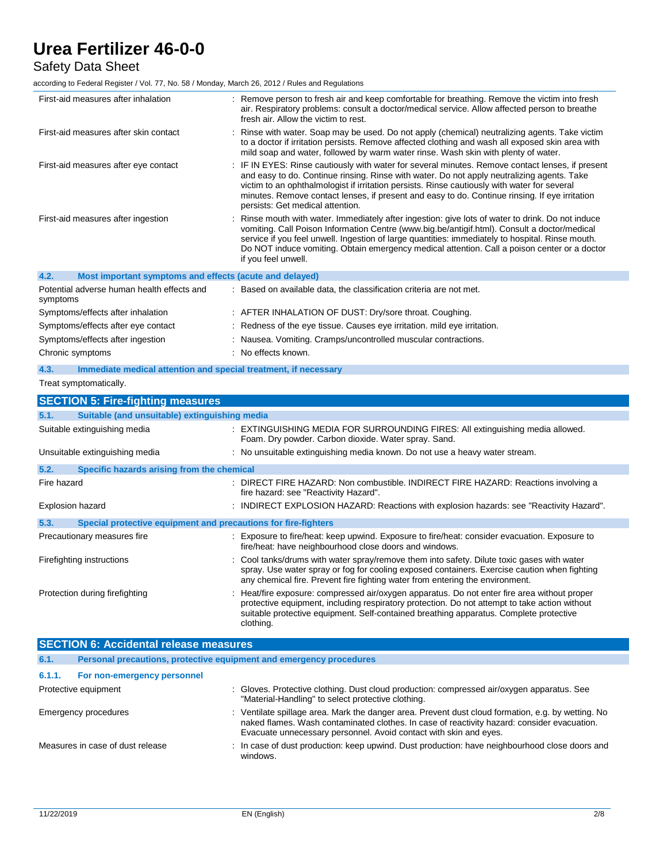## Safety Data Sheet

according to Federal Register / Vol. 77, No. 58 / Monday, March 26, 2012 / Rules and Regulations

| First-aid measures after inhalation                                     | : Remove person to fresh air and keep comfortable for breathing. Remove the victim into fresh<br>air. Respiratory problems: consult a doctor/medical service. Allow affected person to breathe<br>fresh air. Allow the victim to rest.                                                                                                                                                                                               |
|-------------------------------------------------------------------------|--------------------------------------------------------------------------------------------------------------------------------------------------------------------------------------------------------------------------------------------------------------------------------------------------------------------------------------------------------------------------------------------------------------------------------------|
| First-aid measures after skin contact                                   | : Rinse with water. Soap may be used. Do not apply (chemical) neutralizing agents. Take victim<br>to a doctor if irritation persists. Remove affected clothing and wash all exposed skin area with<br>mild soap and water, followed by warm water rinse. Wash skin with plenty of water.                                                                                                                                             |
| First-aid measures after eye contact                                    | : IF IN EYES: Rinse cautiously with water for several minutes. Remove contact lenses, if present<br>and easy to do. Continue rinsing. Rinse with water. Do not apply neutralizing agents. Take<br>victim to an ophthalmologist if irritation persists. Rinse cautiously with water for several<br>minutes. Remove contact lenses, if present and easy to do. Continue rinsing. If eye irritation<br>persists: Get medical attention. |
| First-aid measures after ingestion                                      | : Rinse mouth with water. Immediately after ingestion: give lots of water to drink. Do not induce<br>vomiting. Call Poison Information Centre (www.big.be/antigif.html). Consult a doctor/medical<br>service if you feel unwell. Ingestion of large quantities: immediately to hospital. Rinse mouth.<br>Do NOT induce vomiting. Obtain emergency medical attention. Call a poison center or a doctor<br>if you feel unwell.         |
| 4.2.<br>Most important symptoms and effects (acute and delayed)         |                                                                                                                                                                                                                                                                                                                                                                                                                                      |
| Potential adverse human health effects and<br>symptoms                  | : Based on available data, the classification criteria are not met.                                                                                                                                                                                                                                                                                                                                                                  |
| Symptoms/effects after inhalation                                       | : AFTER INHALATION OF DUST: Dry/sore throat. Coughing.                                                                                                                                                                                                                                                                                                                                                                               |
| Symptoms/effects after eye contact                                      | : Redness of the eye tissue. Causes eye irritation. mild eye irritation.                                                                                                                                                                                                                                                                                                                                                             |
| Symptoms/effects after ingestion                                        | : Nausea. Vomiting. Cramps/uncontrolled muscular contractions.                                                                                                                                                                                                                                                                                                                                                                       |
| Chronic symptoms                                                        | : No effects known.                                                                                                                                                                                                                                                                                                                                                                                                                  |
| 4.3.<br>Immediate medical attention and special treatment, if necessary |                                                                                                                                                                                                                                                                                                                                                                                                                                      |
| Treat symptomatically.                                                  |                                                                                                                                                                                                                                                                                                                                                                                                                                      |
| <b>SECTION 5: Fire-fighting measures</b>                                |                                                                                                                                                                                                                                                                                                                                                                                                                                      |
| 5.1.<br>Suitable (and unsuitable) extinguishing media                   |                                                                                                                                                                                                                                                                                                                                                                                                                                      |
| Suitable extinguishing media                                            | : EXTINGUISHING MEDIA FOR SURROUNDING FIRES: All extinguishing media allowed.<br>Foam. Dry powder. Carbon dioxide. Water spray. Sand.                                                                                                                                                                                                                                                                                                |
| Unsuitable extinguishing media                                          | : No unsuitable extinguishing media known. Do not use a heavy water stream.                                                                                                                                                                                                                                                                                                                                                          |
| 5.2.<br>Specific hazards arising from the chemical                      |                                                                                                                                                                                                                                                                                                                                                                                                                                      |
| Fire hazard                                                             | : DIRECT FIRE HAZARD: Non combustible. INDIRECT FIRE HAZARD: Reactions involving a<br>fire hazard: see "Reactivity Hazard".                                                                                                                                                                                                                                                                                                          |
| <b>Explosion hazard</b>                                                 | : INDIRECT EXPLOSION HAZARD: Reactions with explosion hazards: see "Reactivity Hazard".                                                                                                                                                                                                                                                                                                                                              |
| 5.3.<br>Special protective equipment and precautions for fire-fighters  |                                                                                                                                                                                                                                                                                                                                                                                                                                      |
| Precautionary measures fire                                             | : Exposure to fire/heat: keep upwind. Exposure to fire/heat: consider evacuation. Exposure to<br>fire/heat: have neighbourhood close doors and windows.                                                                                                                                                                                                                                                                              |
| Firefighting instructions                                               | : Cool tanks/drums with water spray/remove them into safety. Dilute toxic gases with water<br>spray. Use water spray or fog for cooling exposed containers. Exercise caution when fighting<br>any chemical fire. Prevent fire fighting water from entering the environment.                                                                                                                                                          |
| Protection during firefighting                                          | Heat/fire exposure: compressed air/oxygen apparatus. Do not enter fire area without proper<br>protective equipment, including respiratory protection. Do not attempt to take action without                                                                                                                                                                                                                                          |

| <b>SECTION 6: Accidental release measures</b> |                                                                     |  |                                                                                                                                                                                                                                                                        |
|-----------------------------------------------|---------------------------------------------------------------------|--|------------------------------------------------------------------------------------------------------------------------------------------------------------------------------------------------------------------------------------------------------------------------|
| 6.1.                                          | Personal precautions, protective equipment and emergency procedures |  |                                                                                                                                                                                                                                                                        |
| 6.1.1.                                        | For non-emergency personnel                                         |  |                                                                                                                                                                                                                                                                        |
|                                               | Protective equipment                                                |  | : Gloves. Protective clothing. Dust cloud production: compressed air/oxygen apparatus. See<br>"Material-Handling" to select protective clothing.                                                                                                                       |
|                                               | Emergency procedures                                                |  | : Ventilate spillage area. Mark the danger area. Prevent dust cloud formation, e.g. by wetting. No<br>naked flames. Wash contaminated clothes. In case of reactivity hazard: consider evacuation.<br>Evacuate unnecessary personnel. Avoid contact with skin and eyes. |
|                                               | Measures in case of dust release                                    |  | : In case of dust production: keep upwind. Dust production: have neighbourhood close doors and<br>windows.                                                                                                                                                             |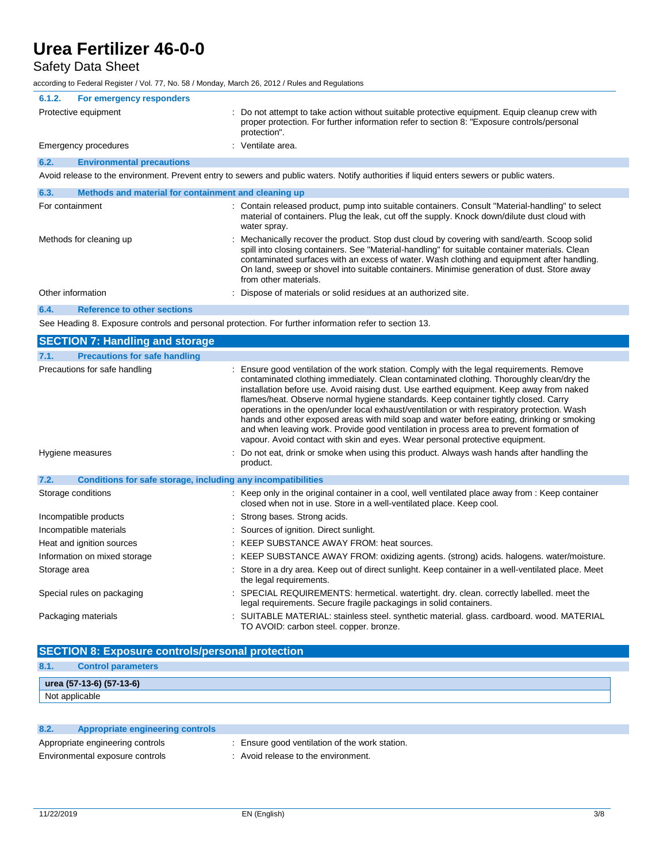## Safety Data Sheet

according to Federal Register / Vol. 77, No. 58 / Monday, March 26, 2012 / Rules and Regulations

| 6.1.2. | For emergency responders                             |                                                                                                                                                                                                                                                                                                                                                                                                                     |
|--------|------------------------------------------------------|---------------------------------------------------------------------------------------------------------------------------------------------------------------------------------------------------------------------------------------------------------------------------------------------------------------------------------------------------------------------------------------------------------------------|
|        | Protective equipment                                 | : Do not attempt to take action without suitable protective equipment. Equip cleanup crew with<br>proper protection. For further information refer to section 8: "Exposure controls/personal<br>protection".                                                                                                                                                                                                        |
|        | Emergency procedures                                 | : Ventilate area.                                                                                                                                                                                                                                                                                                                                                                                                   |
| 6.2.   | <b>Environmental precautions</b>                     |                                                                                                                                                                                                                                                                                                                                                                                                                     |
|        |                                                      | Avoid release to the environment. Prevent entry to sewers and public waters. Notify authorities if liquid enters sewers or public waters.                                                                                                                                                                                                                                                                           |
| 6.3.   | Methods and material for containment and cleaning up |                                                                                                                                                                                                                                                                                                                                                                                                                     |
|        | For containment                                      | : Contain released product, pump into suitable containers. Consult "Material-handling" to select<br>material of containers. Plug the leak, cut off the supply. Knock down/dilute dust cloud with<br>water spray.                                                                                                                                                                                                    |
|        | Methods for cleaning up                              | : Mechanically recover the product. Stop dust cloud by covering with sand/earth. Scoop solid<br>spill into closing containers. See "Material-handling" for suitable container materials. Clean<br>contaminated surfaces with an excess of water. Wash clothing and equipment after handling.<br>On land, sweep or shovel into suitable containers. Minimise generation of dust. Store away<br>from other materials. |
|        | Other information                                    | : Dispose of materials or solid residues at an authorized site.                                                                                                                                                                                                                                                                                                                                                     |
| 6.4.   | <b>Reference to other sections</b>                   |                                                                                                                                                                                                                                                                                                                                                                                                                     |
|        |                                                      |                                                                                                                                                                                                                                                                                                                                                                                                                     |

See Heading 8. Exposure controls and personal protection. For further information refer to section 13.

| <b>SECTION 7: Handling and storage</b>                               |                                                                                                                                                                                                                                                                                                                                                                                                                                                                                                                                                                                                                                                                                                                                                  |
|----------------------------------------------------------------------|--------------------------------------------------------------------------------------------------------------------------------------------------------------------------------------------------------------------------------------------------------------------------------------------------------------------------------------------------------------------------------------------------------------------------------------------------------------------------------------------------------------------------------------------------------------------------------------------------------------------------------------------------------------------------------------------------------------------------------------------------|
| <b>Precautions for safe handling</b><br>7.1.                         |                                                                                                                                                                                                                                                                                                                                                                                                                                                                                                                                                                                                                                                                                                                                                  |
| Precautions for safe handling                                        | : Ensure good ventilation of the work station. Comply with the legal requirements. Remove<br>contaminated clothing immediately. Clean contaminated clothing. Thoroughly clean/dry the<br>installation before use. Avoid raising dust. Use earthed equipment. Keep away from naked<br>flames/heat. Observe normal hygiene standards. Keep container tightly closed. Carry<br>operations in the open/under local exhaust/ventilation or with respiratory protection. Wash<br>hands and other exposed areas with mild soap and water before eating, drinking or smoking<br>and when leaving work. Provide good ventilation in process area to prevent formation of<br>vapour. Avoid contact with skin and eyes. Wear personal protective equipment. |
| Hygiene measures                                                     | : Do not eat, drink or smoke when using this product. Always wash hands after handling the<br>product.                                                                                                                                                                                                                                                                                                                                                                                                                                                                                                                                                                                                                                           |
| Conditions for safe storage, including any incompatibilities<br>7.2. |                                                                                                                                                                                                                                                                                                                                                                                                                                                                                                                                                                                                                                                                                                                                                  |
| Storage conditions                                                   | : Keep only in the original container in a cool, well ventilated place away from : Keep container<br>closed when not in use. Store in a well-ventilated place. Keep cool.                                                                                                                                                                                                                                                                                                                                                                                                                                                                                                                                                                        |
| Incompatible products                                                | : Strong bases. Strong acids.                                                                                                                                                                                                                                                                                                                                                                                                                                                                                                                                                                                                                                                                                                                    |
| Incompatible materials                                               | : Sources of ignition. Direct sunlight.                                                                                                                                                                                                                                                                                                                                                                                                                                                                                                                                                                                                                                                                                                          |
| Heat and ignition sources                                            | : KEEP SUBSTANCE AWAY FROM: heat sources.                                                                                                                                                                                                                                                                                                                                                                                                                                                                                                                                                                                                                                                                                                        |
| Information on mixed storage                                         | : KEEP SUBSTANCE AWAY FROM: oxidizing agents. (strong) acids. halogens. water/moisture.                                                                                                                                                                                                                                                                                                                                                                                                                                                                                                                                                                                                                                                          |
| Storage area                                                         | : Store in a dry area. Keep out of direct sunlight. Keep container in a well-ventilated place. Meet<br>the legal requirements.                                                                                                                                                                                                                                                                                                                                                                                                                                                                                                                                                                                                                   |
| Special rules on packaging                                           | SPECIAL REQUIREMENTS: hermetical. watertight. dry. clean. correctly labelled. meet the<br>legal requirements. Secure fragile packagings in solid containers.                                                                                                                                                                                                                                                                                                                                                                                                                                                                                                                                                                                     |
| Packaging materials                                                  | : SUITABLE MATERIAL: stainless steel. synthetic material. glass. cardboard. wood. MATERIAL<br>TO AVOID: carbon steel. copper. bronze.                                                                                                                                                                                                                                                                                                                                                                                                                                                                                                                                                                                                            |

| <b>SECTION 8: Exposure controls/personal protection</b> |                           |  |
|---------------------------------------------------------|---------------------------|--|
| 8.1.                                                    | <b>Control parameters</b> |  |
|                                                         | urea (57-13-6) (57-13-6)  |  |
|                                                         | Not applicable            |  |

| 8.2. | Appropriate engineering controls |                                                |
|------|----------------------------------|------------------------------------------------|
|      | Appropriate engineering controls | : Ensure good ventilation of the work station. |
|      | Environmental exposure controls  | : Avoid release to the environment.            |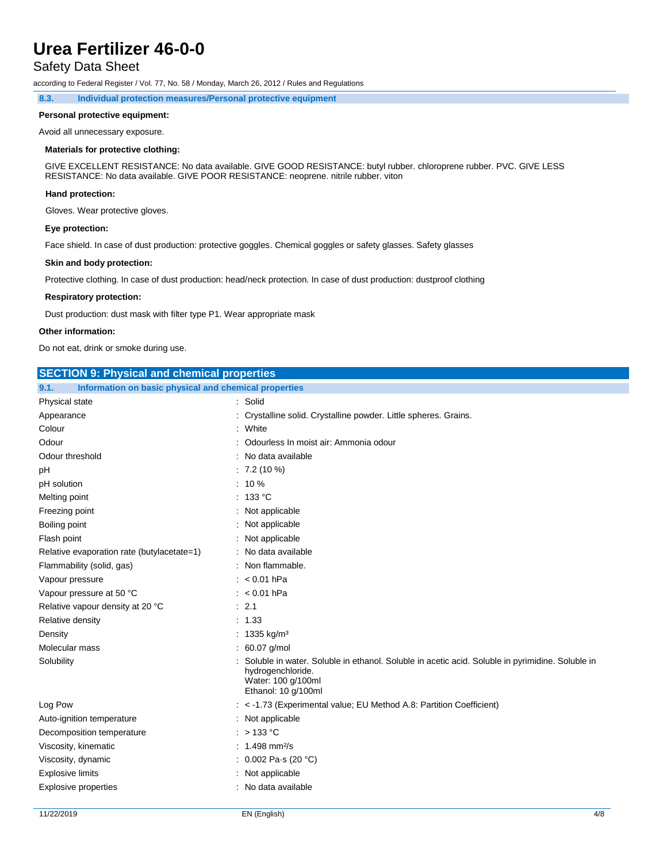## Safety Data Sheet

according to Federal Register / Vol. 77, No. 58 / Monday, March 26, 2012 / Rules and Regulations

**8.3. Individual protection measures/Personal protective equipment**

### **Personal protective equipment:**

Avoid all unnecessary exposure.

### **Materials for protective clothing:**

GIVE EXCELLENT RESISTANCE: No data available. GIVE GOOD RESISTANCE: butyl rubber. chloroprene rubber. PVC. GIVE LESS RESISTANCE: No data available. GIVE POOR RESISTANCE: neoprene. nitrile rubber. viton

### **Hand protection:**

Gloves. Wear protective gloves.

### **Eye protection:**

Face shield. In case of dust production: protective goggles. Chemical goggles or safety glasses. Safety glasses

#### **Skin and body protection:**

Protective clothing. In case of dust production: head/neck protection. In case of dust production: dustproof clothing

#### **Respiratory protection:**

Dust production: dust mask with filter type P1. Wear appropriate mask

#### **Other information:**

Do not eat, drink or smoke during use.

| <b>SECTION 9: Physical and chemical properties</b>            |                                                                                                                                                                   |
|---------------------------------------------------------------|-------------------------------------------------------------------------------------------------------------------------------------------------------------------|
| Information on basic physical and chemical properties<br>9.1. |                                                                                                                                                                   |
| Physical state                                                | : Solid                                                                                                                                                           |
| Appearance                                                    | : Crystalline solid. Crystalline powder. Little spheres. Grains.                                                                                                  |
| Colour                                                        | : White                                                                                                                                                           |
| Odour                                                         | Odourless In moist air: Ammonia odour                                                                                                                             |
| Odour threshold                                               | No data available                                                                                                                                                 |
| рH                                                            | $: 7.2(10\%)$                                                                                                                                                     |
| pH solution                                                   | $: 10 \%$                                                                                                                                                         |
| Melting point                                                 | 133 °C                                                                                                                                                            |
| Freezing point                                                | Not applicable                                                                                                                                                    |
| Boiling point                                                 | Not applicable                                                                                                                                                    |
| Flash point                                                   | : Not applicable                                                                                                                                                  |
| Relative evaporation rate (butylacetate=1)                    | : No data available                                                                                                                                               |
| Flammability (solid, gas)                                     | Non flammable.                                                                                                                                                    |
| Vapour pressure                                               | $: < 0.01$ hPa                                                                                                                                                    |
| Vapour pressure at 50 °C                                      | $: < 0.01$ hPa                                                                                                                                                    |
| Relative vapour density at 20 °C                              | : 2.1                                                                                                                                                             |
| Relative density                                              | : 1.33                                                                                                                                                            |
| Density                                                       | : 1335 kg/m <sup>3</sup>                                                                                                                                          |
| Molecular mass                                                | $: 60.07$ g/mol                                                                                                                                                   |
| Solubility                                                    | Soluble in water. Soluble in ethanol. Soluble in acetic acid. Soluble in pyrimidine. Soluble in<br>hydrogenchloride.<br>Water: 100 g/100ml<br>Ethanol: 10 g/100ml |
| Log Pow                                                       | : < -1.73 (Experimental value; EU Method A.8: Partition Coefficient)                                                                                              |
| Auto-ignition temperature                                     | : Not applicable                                                                                                                                                  |
| Decomposition temperature                                     | $:$ > 133 °C                                                                                                                                                      |
| Viscosity, kinematic                                          | : $1.498$ mm <sup>2</sup> /s                                                                                                                                      |
| Viscosity, dynamic                                            | : $0.002$ Pa s (20 °C)                                                                                                                                            |
| <b>Explosive limits</b>                                       | Not applicable                                                                                                                                                    |
| <b>Explosive properties</b>                                   | : No data available                                                                                                                                               |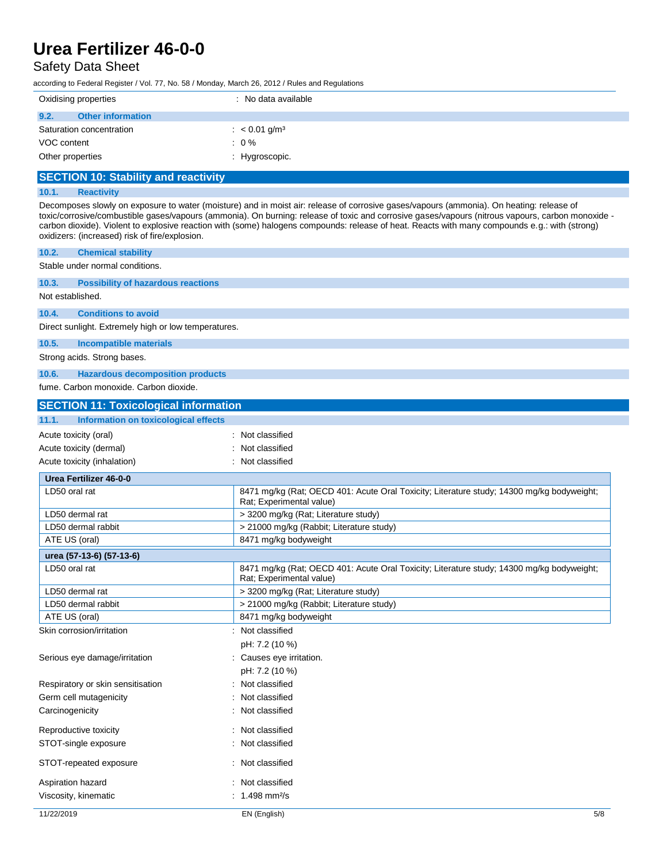## Safety Data Sheet

according to Federal Register / Vol. 77, No. 58 / Monday, March 26, 2012 / Rules and Regulations

| Oxidising properties             | : No data available         |
|----------------------------------|-----------------------------|
| 9.2.<br><b>Other information</b> |                             |
| Saturation concentration         | : $< 0.01$ g/m <sup>3</sup> |
| VOC content                      | $: 0\%$                     |
| Other properties                 | : Hygroscopic.              |

## **SECTION 10: Stability and reactivity**

## **10.1. Reactivity**

Decomposes slowly on exposure to water (moisture) and in moist air: release of corrosive gases/vapours (ammonia). On heating: release of toxic/corrosive/combustible gases/vapours (ammonia). On burning: release of toxic and corrosive gases/vapours (nitrous vapours, carbon monoxide carbon dioxide). Violent to explosive reaction with (some) halogens compounds: release of heat. Reacts with many compounds e.g.: with (strong) oxidizers: (increased) risk of fire/explosion.

| 10.2.<br><b>Chemical stability</b>                   |                                                                                                                       |
|------------------------------------------------------|-----------------------------------------------------------------------------------------------------------------------|
| Stable under normal conditions.                      |                                                                                                                       |
| 10.3.<br><b>Possibility of hazardous reactions</b>   |                                                                                                                       |
| Not established.                                     |                                                                                                                       |
| <b>Conditions to avoid</b><br>10.4.                  |                                                                                                                       |
| Direct sunlight. Extremely high or low temperatures. |                                                                                                                       |
| 10.5.<br>Incompatible materials                      |                                                                                                                       |
| Strong acids. Strong bases.                          |                                                                                                                       |
| 10.6.<br><b>Hazardous decomposition products</b>     |                                                                                                                       |
| fume. Carbon monoxide. Carbon dioxide.               |                                                                                                                       |
| <b>SECTION 11: Toxicological information</b>         |                                                                                                                       |
| 11.1.<br><b>Information on toxicological effects</b> |                                                                                                                       |
| Acute toxicity (oral)                                | : Not classified                                                                                                      |
| Acute toxicity (dermal)                              | : Not classified                                                                                                      |
| Acute toxicity (inhalation)                          | : Not classified                                                                                                      |
| <b>Urea Fertilizer 46-0-0</b>                        |                                                                                                                       |
| LD50 oral rat                                        | 8471 mg/kg (Rat; OECD 401: Acute Oral Toxicity; Literature study; 14300 mg/kg bodyweight;                             |
|                                                      | Rat; Experimental value)                                                                                              |
| LD50 dermal rat                                      | > 3200 mg/kg (Rat; Literature study)                                                                                  |
| LD50 dermal rabbit                                   | > 21000 mg/kg (Rabbit; Literature study)                                                                              |
| ATE US (oral)                                        | 8471 mg/kg bodyweight                                                                                                 |
| urea (57-13-6) (57-13-6)<br>LD50 oral rat            |                                                                                                                       |
|                                                      | 8471 mg/kg (Rat; OECD 401: Acute Oral Toxicity; Literature study; 14300 mg/kg bodyweight;<br>Rat; Experimental value) |
| LD50 dermal rat                                      | > 3200 mg/kg (Rat; Literature study)                                                                                  |
| LD50 dermal rabbit                                   | > 21000 mg/kg (Rabbit; Literature study)                                                                              |
| ATE US (oral)                                        | 8471 mg/kg bodyweight                                                                                                 |
| Skin corrosion/irritation                            | : Not classified                                                                                                      |
|                                                      | pH: 7.2 (10 %)                                                                                                        |
| Serious eye damage/irritation                        | : Causes eye irritation.                                                                                              |
|                                                      | pH: 7.2 (10 %)                                                                                                        |
| Respiratory or skin sensitisation                    | : Not classified                                                                                                      |
| Germ cell mutagenicity                               | : Not classified                                                                                                      |
| Carcinogenicity                                      | : Not classified                                                                                                      |
| Reproductive toxicity                                | Not classified                                                                                                        |
| STOT-single exposure                                 | : Not classified                                                                                                      |
| STOT-repeated exposure                               | : Not classified                                                                                                      |
| Aspiration hazard                                    | : Not classified                                                                                                      |
| Viscosity, kinematic                                 | : $1.498$ mm <sup>2</sup> /s                                                                                          |
| 11/22/2019                                           | EN (English)<br>$5/8$                                                                                                 |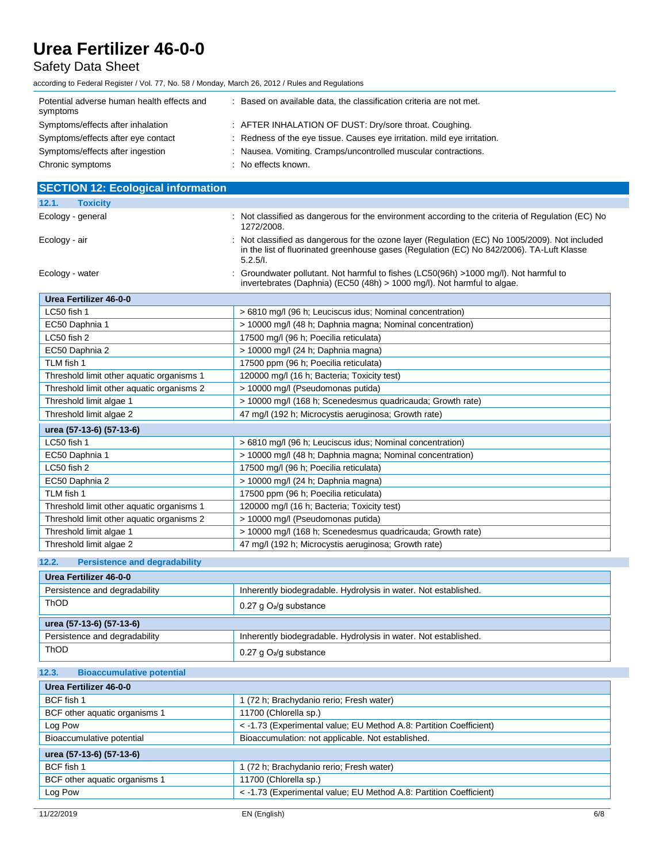## Safety Data Sheet

according to Federal Register / Vol. 77, No. 58 / Monday, March 26, 2012 / Rules and Regulations Potential adverse human health effects and symptoms : Based on available data, the classification criteria are not met. Symptoms/effects after inhalation : AFTER INHALATION OF DUST: Dry/sore throat. Coughing. Symptoms/effects after eye contact : Redness of the eye tissue. Causes eye irritation. mild eye irritation. Symptoms/effects after ingestion : Nausea. Vomiting. Cramps/uncontrolled muscular contractions. Chronic symptoms : No effects known. **SECTION 12: Ecological information 12.1. Toxicity** Ecology - general **interpretatal** : Not classified as dangerous for the environment according to the criteria of Regulation (EC) No 1272/2008. Ecology - air **included** : Not classified as dangerous for the ozone layer (Regulation (EC) No 1005/2009). Not included in the list of fluorinated greenhouse gases (Regulation (EC) No 842/2006). TA-Luft Klasse 5.2.5/I. Ecology - water states of the state of the cology - water states (LC50(96h) >1000 mg/l). Not harmful to fishes (LC50(96h) >1000 mg/l). Not harmful to invertebrates (Daphnia) (EC50 (48h) > 1000 mg/l). Not harmful to algae. **Urea Fertilizer 46-0-0** LC50 fish 1  $\vert$  > 6810 mg/l (96 h; Leuciscus idus; Nominal concentration) EC50 Daphnia 1  $\vert$  > 10000 mg/l (48 h; Daphnia magna; Nominal concentration) LC50 fish 2 17500 mg/l (96 h; Poecilia reticulata) EC50 Daphnia 2 > 10000 mg/l (24 h; Daphnia magna) TLM fish 1 17500 ppm (96 h; Poecilia reticulata) Threshold limit other aquatic organisms 1 | 120000 mg/l (16 h; Bacteria; Toxicity test) Threshold limit other aquatic organisms 2 > 10000 mg/l (Pseudomonas putida) Threshold limit algae 1 > 10000 mg/l (168 h; Scenedesmus quadricauda; Growth rate) Threshold limit algae 2 47 mg/l (192 h; Microcystis aeruginosa; Growth rate) **urea (57-13-6) (57-13-6)** LC50 fish 1  $\vert$  > 6810 mg/l (96 h; Leuciscus idus; Nominal concentration) EC50 Daphnia 1  $\vert$  > 10000 mg/l (48 h; Daphnia magna; Nominal concentration) LC50 fish 2 17500 mg/l (96 h; Poecilia reticulata) EC50 Daphnia 2 > 10000 mg/l (24 h; Daphnia magna) TLM fish 1 17500 ppm (96 h; Poecilia reticulata) Threshold limit other aquatic organisms 1 120000 mg/l (16 h; Bacteria; Toxicity test) Threshold limit other aquatic organisms 2 > 10000 mg/l (Pseudomonas putida) Threshold limit algae 1 > 10000 mg/l (168 h; Scenedesmus quadricauda; Growth rate) Threshold limit algae 2 47 mg/l (192 h; Microcystis aeruginosa; Growth rate)

### **12.2. Persistence and degradability**

| Urea Fertilizer 46-0-0        |                                                                 |
|-------------------------------|-----------------------------------------------------------------|
| Persistence and degradability | Inherently biodegradable. Hydrolysis in water. Not established. |
| <b>ThOD</b>                   | $0.27$ g O <sub>2</sub> /g substance                            |
| urea (57-13-6) (57-13-6)      |                                                                 |
| Persistence and degradability | Inherently biodegradable. Hydrolysis in water. Not established. |
| ThOD                          |                                                                 |

#### **12.3. Bioaccumulative potential**

| Urea Fertilizer 46-0-0        |                                                                    |  |
|-------------------------------|--------------------------------------------------------------------|--|
| BCF fish 1                    | (72 h; Brachydanio rerio; Fresh water)                             |  |
| BCF other aquatic organisms 1 | 11700 (Chlorella sp.)                                              |  |
| Log Pow                       | < -1.73 (Experimental value; EU Method A.8: Partition Coefficient) |  |
| Bioaccumulative potential     | Bioaccumulation: not applicable. Not established.                  |  |
| urea (57-13-6) (57-13-6)      |                                                                    |  |
| BCF fish 1                    | (72 h; Brachydanio rerio; Fresh water)                             |  |
| BCF other aquatic organisms 1 | 11700 (Chlorella sp.)                                              |  |
| Log Pow                       | < -1.73 (Experimental value: EU Method A.8: Partition Coefficient) |  |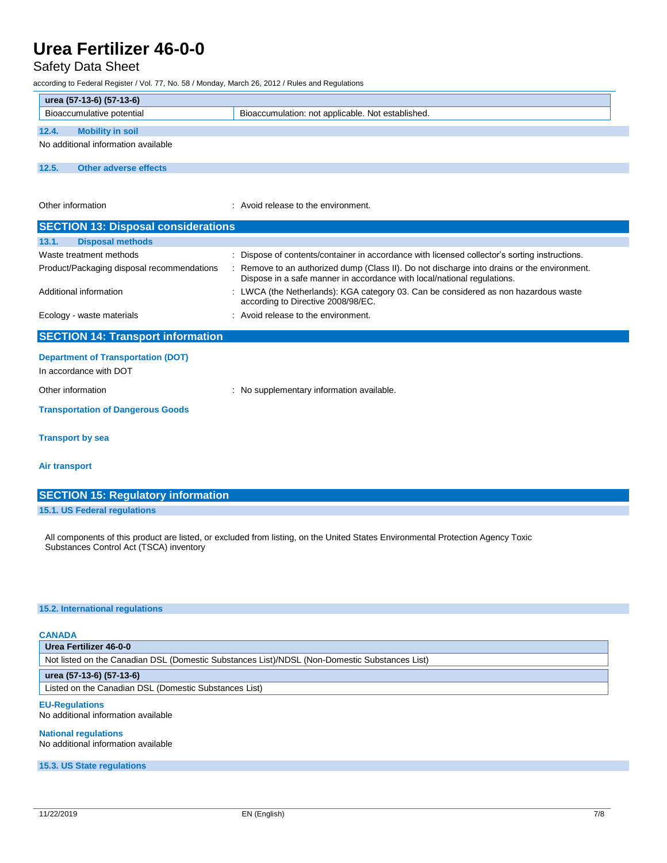## Safety Data Sheet

according to Federal Register / Vol. 77, No. 58 / Monday, March 26, 2012 / Rules and Regulations

| urea (57-13-6) (57-13-6)            |                       |                                                   |  |  |  |
|-------------------------------------|-----------------------|---------------------------------------------------|--|--|--|
| Bioaccumulative potential           |                       | Bioaccumulation: not applicable. Not established. |  |  |  |
| 12.4.<br><b>Mobility in soil</b>    |                       |                                                   |  |  |  |
| No additional information available |                       |                                                   |  |  |  |
|                                     |                       |                                                   |  |  |  |
| 12.5.                               | Other adverse effects |                                                   |  |  |  |

Other information **COLOREGY COLOREGY COLOREGY COLOREGY COLOREGY COLOREGY COLOREGY COLOREGY COLOREGY COLOREGY COLOREGY COLOREGY COLOREGY COLOREGY COLOREGY COLOREGY COLOREGY COLOREGY COLOR** 

| <b>SECTION 13: Disposal considerations</b>                          |                                                                                                                                                                        |  |  |  |  |
|---------------------------------------------------------------------|------------------------------------------------------------------------------------------------------------------------------------------------------------------------|--|--|--|--|
| 13.1.<br><b>Disposal methods</b>                                    |                                                                                                                                                                        |  |  |  |  |
| Waste treatment methods                                             | : Dispose of contents/container in accordance with licensed collector's sorting instructions.                                                                          |  |  |  |  |
| Product/Packaging disposal recommendations                          | : Remove to an authorized dump (Class II). Do not discharge into drains or the environment.<br>Dispose in a safe manner in accordance with local/national regulations. |  |  |  |  |
| Additional information                                              | : LWCA (the Netherlands): KGA category 03. Can be considered as non hazardous waste<br>according to Directive 2008/98/EC.                                              |  |  |  |  |
| Ecology - waste materials                                           | : Avoid release to the environment.                                                                                                                                    |  |  |  |  |
| <b>SECTION 14: Transport information</b>                            |                                                                                                                                                                        |  |  |  |  |
| <b>Department of Transportation (DOT)</b><br>In accordance with DOT |                                                                                                                                                                        |  |  |  |  |
| Other information                                                   | No supplementary information available.                                                                                                                                |  |  |  |  |

#### **Transportation of Dangerous Goods**

**Transport by sea**

#### **Air transport**

| <b>SECTION 15: Regulatory information</b> |  |  |  |  |  |  |
|-------------------------------------------|--|--|--|--|--|--|
| 15.1. US Federal regulations              |  |  |  |  |  |  |

All components of this product are listed, or excluded from listing, on the United States Environmental Protection Agency Toxic Substances Control Act (TSCA) inventory

#### **15.2. International regulations**

### **CANADA**

**Urea Fertilizer 46-0-0** Not listed on the Canadian DSL (Domestic Substances List)/NDSL (Non-Domestic Substances List)

## **urea (57-13-6) (57-13-6)**

Listed on the Canadian DSL (Domestic Substances List)

#### **EU-Regulations**

No additional information available

## **National regulations**

No additional information available

**15.3. US State regulations**